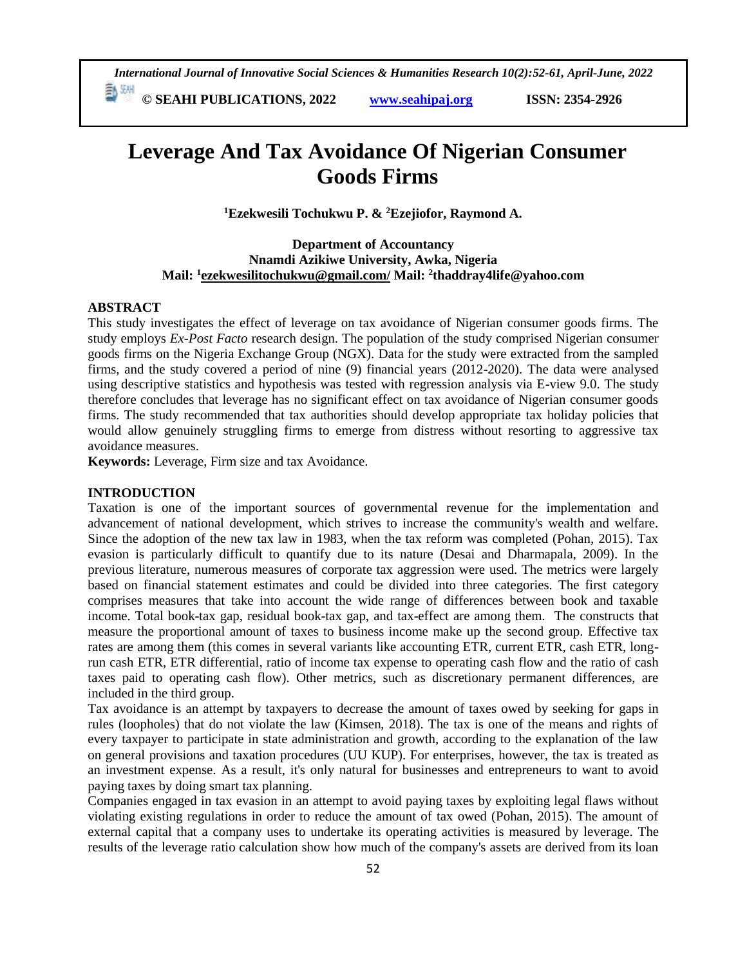*International Journal of Innovative Social Sciences & Humanities Research 10(2):52-61, April-June, 2022*

 **© SEAHI PUBLICATIONS, 2022 [www.seahipaj.org](http://www.seahipaj.org/) ISSN: 2354-2926** 

# **Leverage And Tax Avoidance Of Nigerian Consumer Goods Firms**

**<sup>1</sup>Ezekwesili Tochukwu P. & <sup>2</sup>Ezejiofor, Raymond A.**

**Department of Accountancy Nnamdi Azikiwe University, Awka, Nigeria Mail: <sup>1</sup> [ezekwesilitochukwu@gmail.com/](mailto:ezekwesilitochukwu@gmail.com/) Mail: <sup>2</sup> [thaddray4life@yahoo.com](mailto:thaddray4life@yahoo.com)**

#### **ABSTRACT**

This study investigates the effect of leverage on tax avoidance of Nigerian consumer goods firms. The study employs *Ex-Post Facto* research design. The population of the study comprised Nigerian consumer goods firms on the Nigeria Exchange Group (NGX). Data for the study were extracted from the sampled firms, and the study covered a period of nine (9) financial years (2012-2020). The data were analysed using descriptive statistics and hypothesis was tested with regression analysis via E-view 9.0. The study therefore concludes that leverage has no significant effect on tax avoidance of Nigerian consumer goods firms. The study recommended that tax authorities should develop appropriate tax holiday policies that would allow genuinely struggling firms to emerge from distress without resorting to aggressive tax avoidance measures.

**Keywords:** Leverage, Firm size and tax Avoidance.

#### **INTRODUCTION**

Taxation is one of the important sources of governmental revenue for the implementation and advancement of national development, which strives to increase the community's wealth and welfare. Since the adoption of the new tax law in 1983, when the tax reform was completed (Pohan, 2015). Tax evasion is particularly difficult to quantify due to its nature (Desai and Dharmapala, 2009). In the previous literature, numerous measures of corporate tax aggression were used. The metrics were largely based on financial statement estimates and could be divided into three categories. The first category comprises measures that take into account the wide range of differences between book and taxable income. Total book-tax gap, residual book-tax gap, and tax-effect are among them. The constructs that measure the proportional amount of taxes to business income make up the second group. Effective tax rates are among them (this comes in several variants like accounting ETR, current ETR, cash ETR, longrun cash ETR, ETR differential, ratio of income tax expense to operating cash flow and the ratio of cash taxes paid to operating cash flow). Other metrics, such as discretionary permanent differences, are included in the third group.

Tax avoidance is an attempt by taxpayers to decrease the amount of taxes owed by seeking for gaps in rules (loopholes) that do not violate the law (Kimsen, 2018). The tax is one of the means and rights of every taxpayer to participate in state administration and growth, according to the explanation of the law on general provisions and taxation procedures (UU KUP). For enterprises, however, the tax is treated as an investment expense. As a result, it's only natural for businesses and entrepreneurs to want to avoid paying taxes by doing smart tax planning.

Companies engaged in tax evasion in an attempt to avoid paying taxes by exploiting legal flaws without violating existing regulations in order to reduce the amount of tax owed (Pohan, 2015). The amount of external capital that a company uses to undertake its operating activities is measured by leverage. The results of the leverage ratio calculation show how much of the company's assets are derived from its loan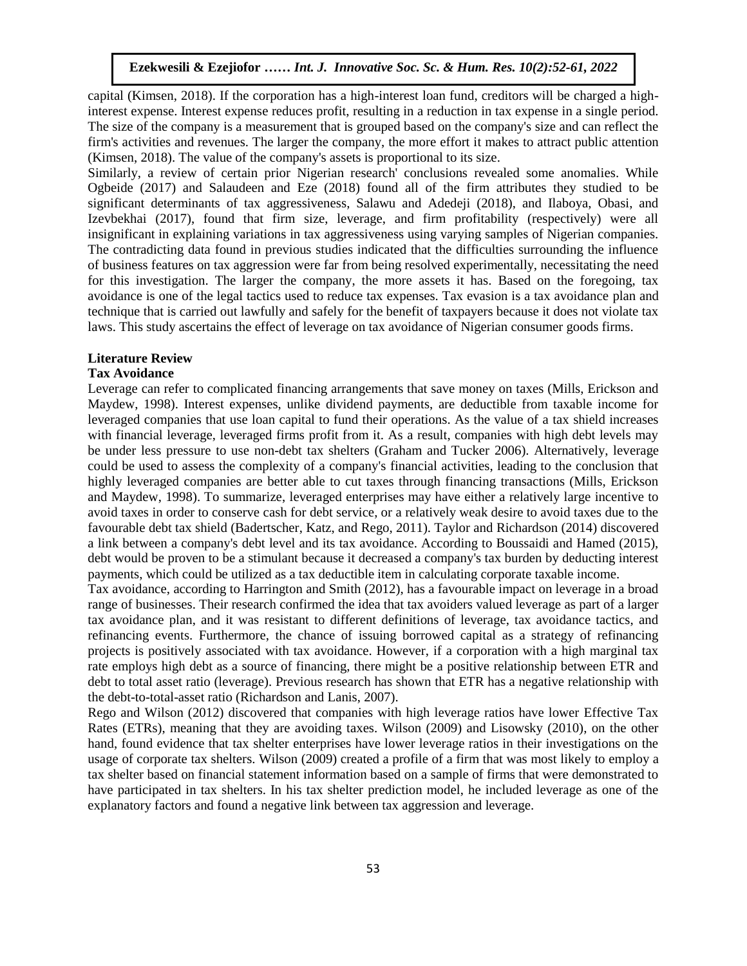capital (Kimsen, 2018). If the corporation has a high-interest loan fund, creditors will be charged a highinterest expense. Interest expense reduces profit, resulting in a reduction in tax expense in a single period. The size of the company is a measurement that is grouped based on the company's size and can reflect the firm's activities and revenues. The larger the company, the more effort it makes to attract public attention (Kimsen, 2018). The value of the company's assets is proportional to its size.

Similarly, a review of certain prior Nigerian research' conclusions revealed some anomalies. While Ogbeide (2017) and Salaudeen and Eze (2018) found all of the firm attributes they studied to be significant determinants of tax aggressiveness, Salawu and Adedeji (2018), and Ilaboya, Obasi, and Izevbekhai (2017), found that firm size, leverage, and firm profitability (respectively) were all insignificant in explaining variations in tax aggressiveness using varying samples of Nigerian companies. The contradicting data found in previous studies indicated that the difficulties surrounding the influence of business features on tax aggression were far from being resolved experimentally, necessitating the need for this investigation. The larger the company, the more assets it has. Based on the foregoing, tax avoidance is one of the legal tactics used to reduce tax expenses. Tax evasion is a tax avoidance plan and technique that is carried out lawfully and safely for the benefit of taxpayers because it does not violate tax laws. This study ascertains the effect of leverage on tax avoidance of Nigerian consumer goods firms.

#### **Literature Review**

#### **Tax Avoidance** Arugu a World and Soc. Sc. Arugu a Wood and Soc. Sc. Arugu a Hum. Res. 8(1):1-11, 2020. In 1-11, 2020. In 1-1

Leverage can refer to complicated financing arrangements that save money on taxes (Mills, Erickson and Maydew, 1998). Interest expenses, unlike dividend payments, are deductible from taxable income for leveraged companies that use loan capital to fund their operations. As the value of a tax shield increases with financial leverage, leveraged firms profit from it. As a result, companies with high debt levels may be under less pressure to use non-debt tax shelters (Graham and Tucker 2006). Alternatively, leverage could be used to assess the complexity of a company's financial activities, leading to the conclusion that highly leveraged companies are better able to cut taxes through financing transactions (Mills, Erickson and Maydew, 1998). To summarize, leveraged enterprises may have either a relatively large incentive to avoid taxes in order to conserve cash for debt service, or a relatively weak desire to avoid taxes due to the favourable debt tax shield (Badertscher, Katz, and Rego, 2011). Taylor and Richardson (2014) discovered a link between a company's debt level and its tax avoidance. According to Boussaidi and Hamed (2015), debt would be proven to be a stimulant because it decreased a company's tax burden by deducting interest payments, which could be utilized as a tax deductible item in calculating corporate taxable income.

Tax avoidance, according to Harrington and Smith (2012), has a favourable impact on leverage in a broad range of businesses. Their research confirmed the idea that tax avoiders valued leverage as part of a larger tax avoidance plan, and it was resistant to different definitions of leverage, tax avoidance tactics, and refinancing events. Furthermore, the chance of issuing borrowed capital as a strategy of refinancing projects is positively associated with tax avoidance. However, if a corporation with a high marginal tax rate employs high debt as a source of financing, there might be a positive relationship between ETR and debt to total asset ratio (leverage). Previous research has shown that ETR has a negative relationship with the debt-to-total-asset ratio (Richardson and Lanis, 2007).

Rego and Wilson (2012) discovered that companies with high leverage ratios have lower Effective Tax Rates (ETRs), meaning that they are avoiding taxes. Wilson (2009) and Lisowsky (2010), on the other hand, found evidence that tax shelter enterprises have lower leverage ratios in their investigations on the usage of corporate tax shelters. Wilson (2009) created a profile of a firm that was most likely to employ a tax shelter based on financial statement information based on a sample of firms that were demonstrated to have participated in tax shelters. In his tax shelter prediction model, he included leverage as one of the explanatory factors and found a negative link between tax aggression and leverage.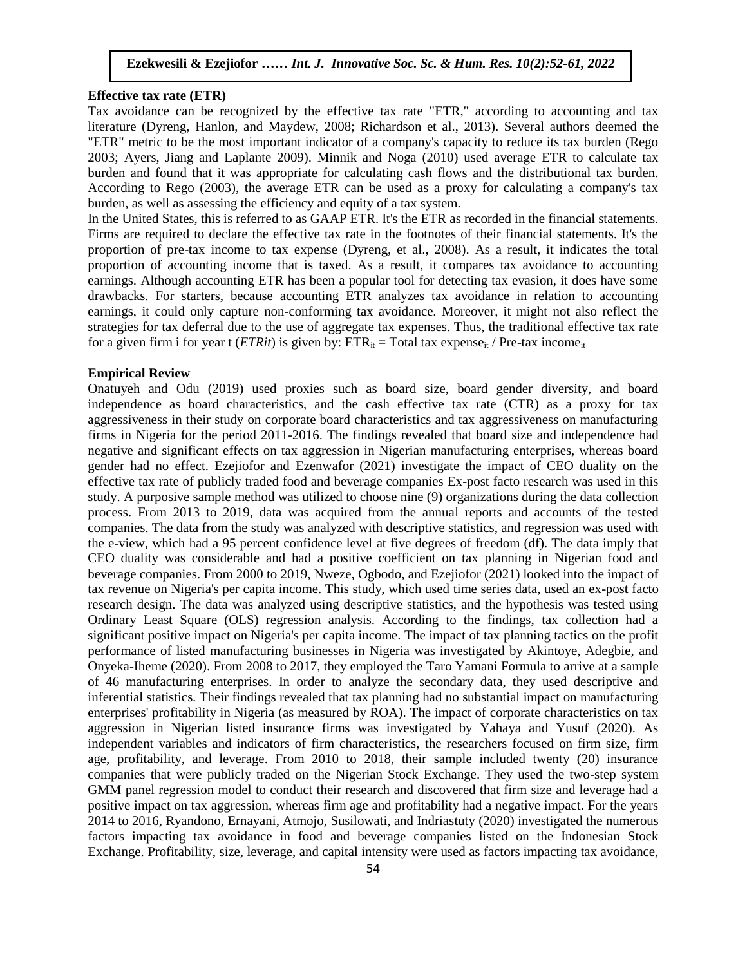## **Effective tax rate (ETR)**

Tax avoidance can be recognized by the effective tax rate "ETR," according to accounting and tax literature (Dyreng, Hanlon, and Maydew, 2008; Richardson et al., 2013). Several authors deemed the "ETR" metric to be the most important indicator of a company's capacity to reduce its tax burden (Rego 2003; Ayers, Jiang and Laplante 2009). Minnik and Noga (2010) used average ETR to calculate tax burden and found that it was appropriate for calculating cash flows and the distributional tax burden. According to Rego (2003), the average ETR can be used as a proxy for calculating a company's tax burden, as well as assessing the efficiency and equity of a tax system.

In the United States, this is referred to as GAAP ETR. It's the ETR as recorded in the financial statements. Firms are required to declare the effective tax rate in the footnotes of their financial statements. It's the proportion of pre-tax income to tax expense (Dyreng, et al., 2008). As a result, it indicates the total proportion of accounting income that is taxed. As a result, it compares tax avoidance to accounting earnings. Although accounting ETR has been a popular tool for detecting tax evasion, it does have some drawbacks. For starters, because accounting ETR analyzes tax avoidance in relation to accounting earnings, it could only capture non-conforming tax avoidance. Moreover, it might not also reflect the strategies for tax deferral due to the use of aggregate tax expenses. Thus, the traditional effective tax rate for a given firm i for year t (*ETRit*) is given by:  $ETR_{it} = Total tax expense_{it}$  / Pre-tax income<sub>it</sub>

### **Empirical Review**

Onatuyeh and Odu (2019) used proxies such as board size, board gender diversity, and board independence as board characteristics, and the cash effective tax rate (CTR) as a proxy for tax aggressiveness in their study on corporate board characteristics and tax aggressiveness on manufacturing firms in Nigeria for the period 2011-2016. The findings revealed that board size and independence had negative and significant effects on tax aggression in Nigerian manufacturing enterprises, whereas board gender had no effect. Ezejiofor and Ezenwafor (2021) investigate the impact of CEO duality on the effective tax rate of publicly traded food and beverage companies Ex-post facto research was used in this study. A purposive sample method was utilized to choose nine (9) organizations during the data collection process. From 2013 to 2019, data was acquired from the annual reports and accounts of the tested companies. The data from the study was analyzed with descriptive statistics, and regression was used with the e-view, which had a 95 percent confidence level at five degrees of freedom (df). The data imply that CEO duality was considerable and had a positive coefficient on tax planning in Nigerian food and beverage companies. From 2000 to 2019, Nweze, Ogbodo, and Ezejiofor (2021) looked into the impact of tax revenue on Nigeria's per capita income. This study, which used time series data, used an ex-post facto research design. The data was analyzed using descriptive statistics, and the hypothesis was tested using Ordinary Least Square (OLS) regression analysis. According to the findings, tax collection had a significant positive impact on Nigeria's per capita income. The impact of tax planning tactics on the profit performance of listed manufacturing businesses in Nigeria was investigated by Akintoye, Adegbie, and Onyeka-Iheme (2020). From 2008 to 2017, they employed the Taro Yamani Formula to arrive at a sample of 46 manufacturing enterprises. In order to analyze the secondary data, they used descriptive and inferential statistics. Their findings revealed that tax planning had no substantial impact on manufacturing enterprises' profitability in Nigeria (as measured by ROA). The impact of corporate characteristics on tax aggression in Nigerian listed insurance firms was investigated by Yahaya and Yusuf (2020). As independent variables and indicators of firm characteristics, the researchers focused on firm size, firm age, profitability, and leverage. From 2010 to 2018, their sample included twenty (20) insurance companies that were publicly traded on the Nigerian Stock Exchange. They used the two-step system GMM panel regression model to conduct their research and discovered that firm size and leverage had a positive impact on tax aggression, whereas firm age and profitability had a negative impact. For the years 2014 to 2016, Ryandono, Ernayani, Atmojo, Susilowati, and Indriastuty (2020) investigated the numerous factors impacting tax avoidance in food and beverage companies listed on the Indonesian Stock Exchange. Profitability, size, leverage, and capital intensity were used as factors impacting tax avoidance,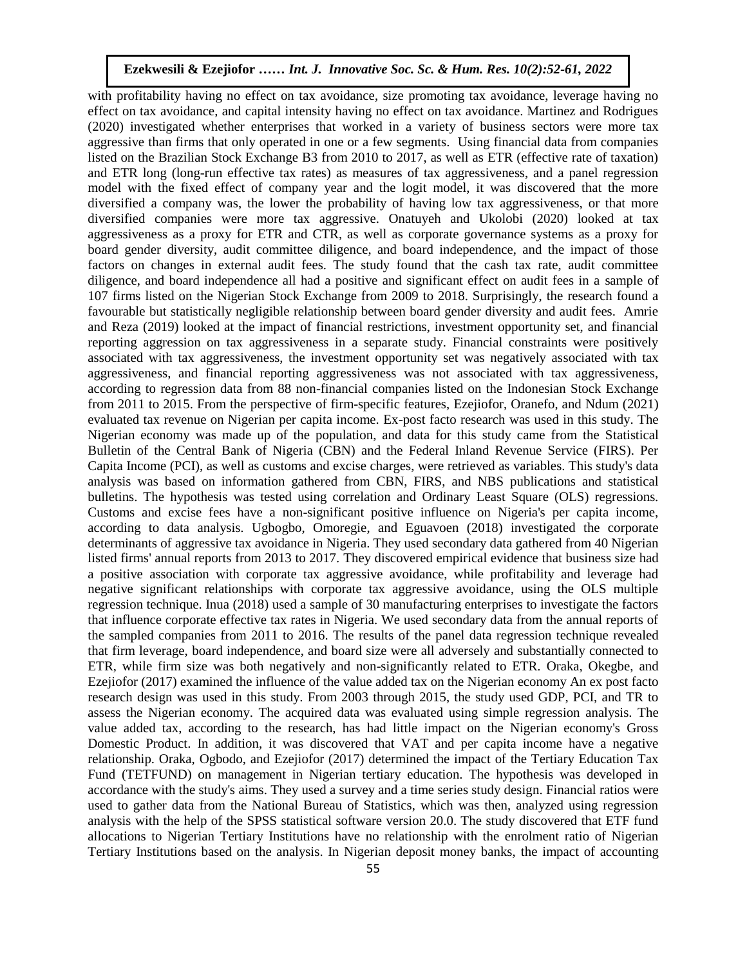with profitability having no effect on tax avoidance, size promoting tax avoidance, leverage having no effect on tax avoidance, and capital intensity having no effect on tax avoidance. Martinez and Rodrigues (2020) investigated whether enterprises that worked in a variety of business sectors were more tax aggressive than firms that only operated in one or a few segments. Using financial data from companies listed on the Brazilian Stock Exchange B3 from 2010 to 2017, as well as ETR (effective rate of taxation) and ETR long (long-run effective tax rates) as measures of tax aggressiveness, and a panel regression model with the fixed effect of company year and the logit model, it was discovered that the more diversified a company was, the lower the probability of having low tax aggressiveness, or that more diversified companies were more tax aggressive. Onatuyeh and Ukolobi (2020) looked at tax aggressiveness as a proxy for ETR and CTR, as well as corporate governance systems as a proxy for board gender diversity, audit committee diligence, and board independence, and the impact of those factors on changes in external audit fees. The study found that the cash tax rate, audit committee diligence, and board independence all had a positive and significant effect on audit fees in a sample of 107 firms listed on the Nigerian Stock Exchange from 2009 to 2018. Surprisingly, the research found a favourable but statistically negligible relationship between board gender diversity and audit fees. Amrie and Reza (2019) looked at the impact of financial restrictions, investment opportunity set, and financial reporting aggression on tax aggressiveness in a separate study. Financial constraints were positively associated with tax aggressiveness, the investment opportunity set was negatively associated with tax aggressiveness, and financial reporting aggressiveness was not associated with tax aggressiveness, according to regression data from 88 non-financial companies listed on the Indonesian Stock Exchange from 2011 to 2015. From the perspective of firm-specific features, Ezejiofor, Oranefo, and Ndum (2021) evaluated tax revenue on Nigerian per capita income. Ex-post facto research was used in this study. The Nigerian economy was made up of the population, and data for this study came from the Statistical Nigerian economy was made up of the population, and data for this study came from the Statistical<br>Bulletin of the Central Bank of Nigeria (CBN) and the Federal Inland Revenue Service (FIRS). Per Capita Income (PCI), as well as customs and excise charges, were retrieved as variables. This study's data analysis was based on information gathered from CBN, FIRS, and NBS publications and statistical bulletins. The hypothesis was tested using correlation and Ordinary Least Square (OLS) regressions. buneums. The hypothesis was tested using correlation and Ordinary Least Square (OLS) regressions.<br>Customs and excise fees have a non-significant positive influence on Nigeria's per capita income, according to data analysis. Ugbogbo, Omoregie, and Eguavoen (2018) investigated the corporate determinants of aggressive tax avoidance in Nigeria. They used secondary data gathered from 40 Nigerian listed firms' annual reports from 2013 to 2017. They discovered empirical evidence that business size had a positive association with corporate tax aggressive avoidance, while profitability and leverage had negative significant relationships with corporate tax aggressive avoidance, using the OLS multiple regression technique. Inua (2018) used a sample of 30 manufacturing enterprises to investigate the factors that influence corporate effective tax rates in Nigeria. We used secondary data from the annual reports of the sampled companies from 2011 to 2016. The results of the panel data regression technique revealed that firm leverage, board independence, and board size were all adversely and substantially connected to ETR, while firm size was both negatively and non-significantly related to ETR. Oraka, Okegbe, and Ezejiofor (2017) examined the influence of the value added tax on the Nigerian economy An ex post facto research design was used in this study. From 2003 through 2015, the study used GDP, PCI, and TR to assess the Nigerian economy. The acquired data was evaluated using simple regression analysis. The value added tax, according to the research, has had little impact on the Nigerian economy's Gross Domestic Product. In addition, it was discovered that VAT and per capita income have a negative relationship. Oraka, Ogbodo, and Ezejiofor (2017) determined the impact of the Tertiary Education Tax Fund (TETFUND) on management in Nigerian tertiary education. The hypothesis was developed in accordance with the study's aims. They used a survey and a time series study design. Financial ratios were used to gather data from the National Bureau of Statistics, which was then, analyzed using regression analysis with the help of the SPSS statistical software version 20.0. The study discovered that ETF fund allocations to Nigerian Tertiary Institutions have no relationship with the enrolment ratio of Nigerian Tertiary Institutions based on the analysis. In Nigerian deposit money banks, the impact of accounting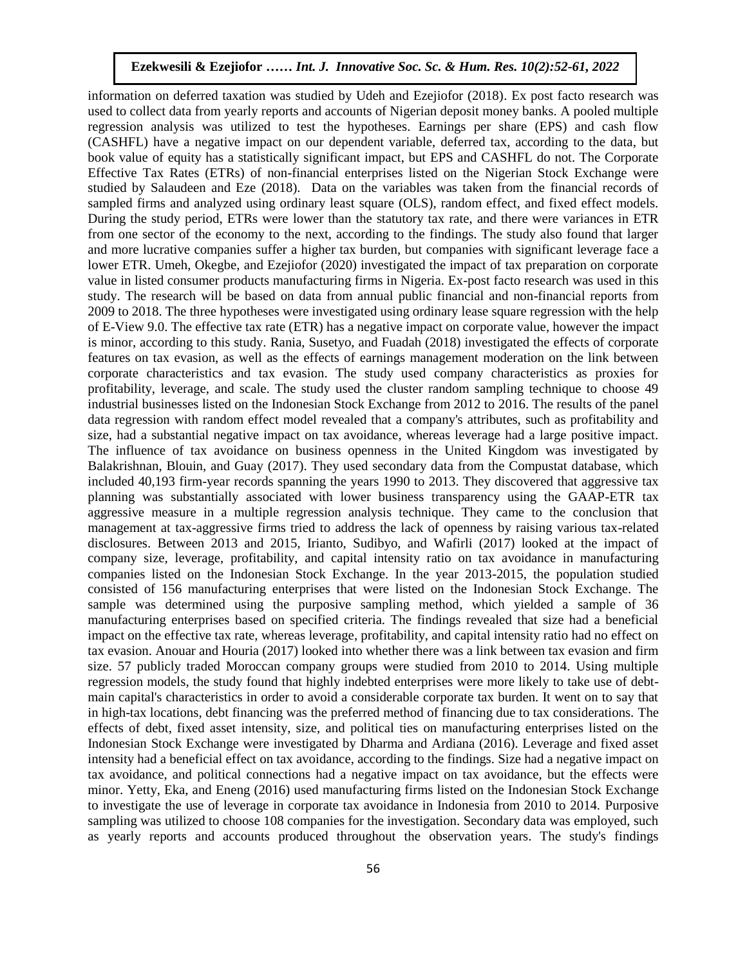information on deferred taxation was studied by Udeh and Ezejiofor (2018). Ex post facto research was used to collect data from yearly reports and accounts of Nigerian deposit money banks. A pooled multiple regression analysis was utilized to test the hypotheses. Earnings per share (EPS) and cash flow (CASHFL) have a negative impact on our dependent variable, deferred tax, according to the data, but book value of equity has a statistically significant impact, but EPS and CASHFL do not. The Corporate Effective Tax Rates (ETRs) of non-financial enterprises listed on the Nigerian Stock Exchange were studied by Salaudeen and Eze (2018). Data on the variables was taken from the financial records of sampled firms and analyzed using ordinary least square (OLS), random effect, and fixed effect models. During the study period, ETRs were lower than the statutory tax rate, and there were variances in ETR from one sector of the economy to the next, according to the findings. The study also found that larger and more lucrative companies suffer a higher tax burden, but companies with significant leverage face a lower ETR. Umeh, Okegbe, and Ezejiofor (2020) investigated the impact of tax preparation on corporate value in listed consumer products manufacturing firms in Nigeria. Ex-post facto research was used in this study. The research will be based on data from annual public financial and non-financial reports from 2009 to 2018. The three hypotheses were investigated using ordinary lease square regression with the help of E-View 9.0. The effective tax rate (ETR) has a negative impact on corporate value, however the impact is minor, according to this study. Rania, Susetyo, and Fuadah (2018) investigated the effects of corporate features on tax evasion, as well as the effects of earnings management moderation on the link between corporate characteristics and tax evasion. The study used company characteristics as proxies for profitability, leverage, and scale. The study used the cluster random sampling technique to choose 49 industrial businesses listed on the Indonesian Stock Exchange from 2012 to 2016. The results of the panel data regression with random effect model revealed that a company's attributes, such as profitability and size, had a substantial negative impact on tax avoidance, whereas leverage had a large positive impact. The influence of tax avoidance on business openness in the United Kingdom was investigated by Balakrishnan, Blouin, and Guay (2017). They used secondary data from the Compustat database, which included 40,193 firm-year records spanning the years 1990 to 2013. They discovered that aggressive tax planning was substantially associated with lower business transparency using the GAAP-ETR tax aggressive measure in a multiple regression analysis technique. They came to the conclusion that management at tax-aggressive firms tried to address the lack of openness by raising various tax-related disclosures. Between 2013 and 2015, Irianto, Sudibyo, and Wafirli (2017) looked at the impact of company size, leverage, profitability, and capital intensity ratio on tax avoidance in manufacturing companies listed on the Indonesian Stock Exchange. In the year 2013-2015, the population studied consisted of 156 manufacturing enterprises that were listed on the Indonesian Stock Exchange. The sample was determined using the purposive sampling method, which yielded a sample of 36 manufacturing enterprises based on specified criteria. The findings revealed that size had a beneficial impact on the effective tax rate, whereas leverage, profitability, and capital intensity ratio had no effect on tax evasion. Anouar and Houria (2017) looked into whether there was a link between tax evasion and firm size. 57 publicly traded Moroccan company groups were studied from 2010 to 2014. Using multiple regression models, the study found that highly indebted enterprises were more likely to take use of debtmain capital's characteristics in order to avoid a considerable corporate tax burden. It went on to say that in high-tax locations, debt financing was the preferred method of financing due to tax considerations. The effects of debt, fixed asset intensity, size, and political ties on manufacturing enterprises listed on the Indonesian Stock Exchange were investigated by Dharma and Ardiana (2016). Leverage and fixed asset intensity had a beneficial effect on tax avoidance, according to the findings. Size had a negative impact on tax avoidance, and political connections had a negative impact on tax avoidance, but the effects were minor. Yetty, Eka, and Eneng (2016) used manufacturing firms listed on the Indonesian Stock Exchange to investigate the use of leverage in corporate tax avoidance in Indonesia from 2010 to 2014. Purposive sampling was utilized to choose 108 companies for the investigation. Secondary data was employed, such as yearly reports and accounts produced throughout the observation years. The study's findings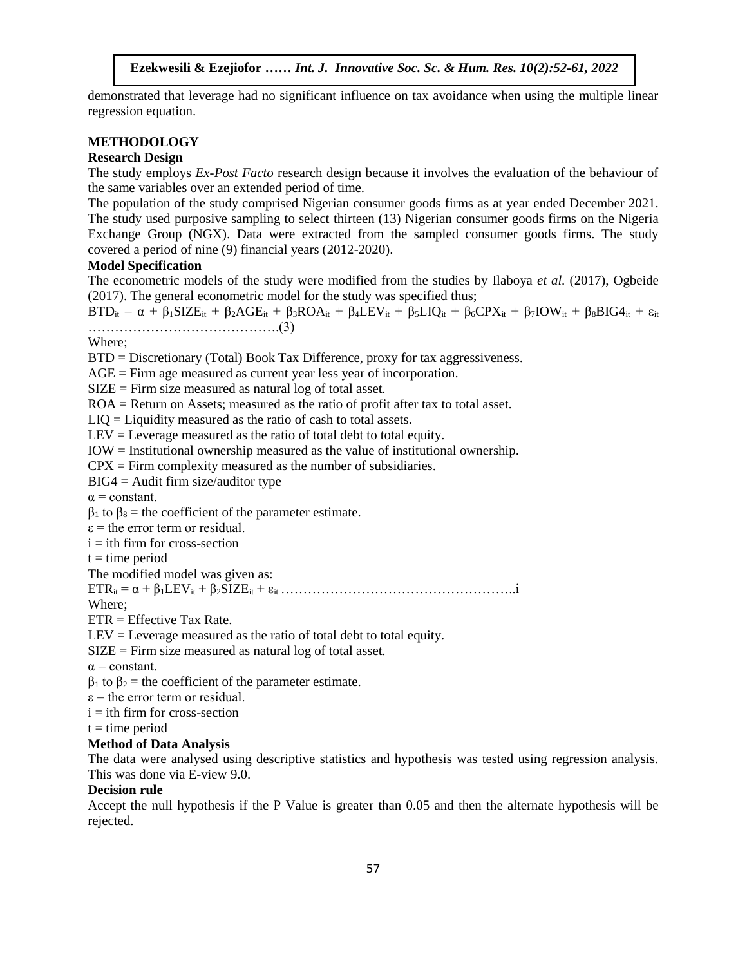demonstrated that leverage had no significant influence on tax avoidance when using the multiple linear regression equation.

# **METHODOLOGY**

# **Research Design**

The study employs *Ex-Post Facto* research design because it involves the evaluation of the behaviour of the same variables over an extended period of time.

The population of the study comprised Nigerian consumer goods firms as at year ended December 2021. The study used purposive sampling to select thirteen (13) Nigerian consumer goods firms on the Nigeria Exchange Group (NGX). Data were extracted from the sampled consumer goods firms. The study covered a period of nine  $(9)$  financial years  $(2012-2020)$ .

### **Model Specification**

The econometric models of the study were modified from the studies by Ilaboya *et al.* (2017), Ogbeide (2017). The general econometric model for the study was specified thus;

 $\text{BTD}_{it} = \alpha + \beta_1 \text{SIZE}_{it} + \beta_2 \text{AGE}_{it} + \beta_3 \text{ROA}_{it} + \beta_4 \text{LEV}_{it} + \beta_5 \text{LIQ}_{it} + \beta_6 \text{CPX}_{it} + \beta_7 \text{IOW}_{it} + \beta_8 \text{BIG4}_{it} + \epsilon_{it}$ …………………………………….(3)

Where;

BTD = Discretionary (Total) Book Tax Difference, proxy for tax aggressiveness.

 $AGE = Firm$  age measured as current year less year of incorporation.

SIZE = Firm size measured as natural log of total asset.

ROA = Return on Assets; measured as the ratio of profit after tax to total asset.

LIQ = Liquidity measured as the ratio of cash to total assets.

 $LEV = Leverage measured as the ratio of total debt to total equity.$ 

IOW = Institutional ownership measured as the value of institutional ownership.

 $CPX =$  Firm complexity measured as the number of subsidiaries.

 $BIG4 =$  Audit firm size/auditor type

 $\alpha$  = constant.

 $\alpha$  = constant.<br>β<sub>1</sub> to β<sub>8</sub> = the coefficient of the parameter estimate.

 $\varepsilon$  = the error term or residual.

 $i =$  ith firm for cross-section

 $t =$  time period

The modified model was given as:

ETRit = α + β1LEVit + β2SIZEit + εit ……………………………………………..i

Where;

 $ETR = Effective Tax Rate.$ 

LEV = Leverage measured as the ratio of total debt to total equity.

SIZE = Firm size measured as natural log of total asset.

 $\alpha$  = constant.

 $β_1$  to  $β_2$  = the coefficient of the parameter estimate.

 $\epsilon$  = the error term or residual.

 $i =$  ith firm for cross-section

 $t =$  time period

## **Method of Data Analysis**

The data were analysed using descriptive statistics and hypothesis was tested using regression analysis. This was done via E-view 9.0.

#### **Decision rule**

Accept the null hypothesis if the P Value is greater than 0.05 and then the alternate hypothesis will be rejected.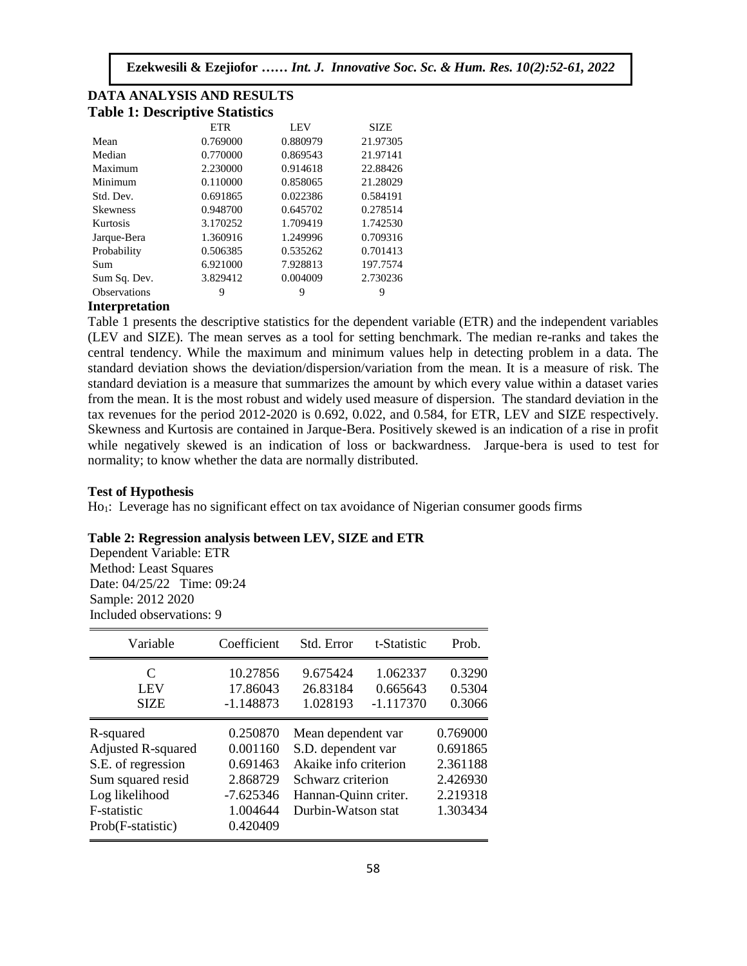| <b>Table 1: Descriptive Statistics</b> |            |            |             |  |  |
|----------------------------------------|------------|------------|-------------|--|--|
|                                        | <b>ETR</b> | <b>LEV</b> | <b>SIZE</b> |  |  |
| Mean                                   | 0.769000   | 0.880979   | 21.97305    |  |  |
| Median                                 | 0.770000   | 0.869543   | 21.97141    |  |  |
| Maximum                                | 2.230000   | 0.914618   | 22.88426    |  |  |
| Minimum                                | 0.110000   | 0.858065   | 21.28029    |  |  |
| Std. Dev.                              | 0.691865   | 0.022386   | 0.584191    |  |  |
| <b>Skewness</b>                        | 0.948700   | 0.645702   | 0.278514    |  |  |
| Kurtosis                               | 3.170252   | 1.709419   | 1.742530    |  |  |
| Jarque-Bera                            | 1.360916   | 1.249996   | 0.709316    |  |  |
| Probability                            | 0.506385   | 0.535262   | 0.701413    |  |  |
| Sum                                    | 6.921000   | 7.928813   | 197.7574    |  |  |
| Sum Sq. Dev.                           | 3.829412   | 0.004009   | 2.730236    |  |  |
| <b>Observations</b>                    | 9          | 9          | 9           |  |  |

# **DATA ANALYSIS AND RESULTS Table 1: Descriptive Statistics**

#### **Interpretation**

medical predation<br>Table 1 presents the descriptive statistics for the dependent variable (ETR) and the independent variables (LEV and SIZE). The mean serves as a tool for setting benchmark. The median re-ranks and takes the central tendency. While the maximum and minimum values help in detecting problem in a data. The standard deviation shows the deviation/dispersion/variation from the mean. It is a measure of risk. The standard deviation shows the deviation dispersion variation from the meant R is a measure of fish. The standard deviation is a measure that summarizes the amount by which every value within a dataset varies from the mean. It is the most robust and widely used measure of dispersion. The standard deviation in the tax revenues for the period 2012-2020 is 0.692, 0.022, and 0.584, for ETR, LEV and SIZE respectively. Skewness and Kurtosis are contained in Jarque-Bera. Positively skewed is an indication of a rise in profit while negatively skewed is an indication of loss or backwardness. Jarque-bera is used to test for normality; to know whether the data are normally distributed.

#### **Test of Hypothesis**

For a Ly<sub>perantian</sub><br>Ho<sub>1</sub>: Leverage has no significant effect on tax avoidance of Nigerian consumer goods firms

#### **Table 2: Regression analysis between LEV, SIZE and ETR**

Dependent Variable: ETR Method: Least Squares Date: 04/25/22 Time: 09:24 Sample: 2012 2020 Included observations: 9

| Variable                                                                                                                                | Coefficient                                                                         | Std. Error                                                                                                                           | t-Statistic                         | Prob.                                                                |
|-----------------------------------------------------------------------------------------------------------------------------------------|-------------------------------------------------------------------------------------|--------------------------------------------------------------------------------------------------------------------------------------|-------------------------------------|----------------------------------------------------------------------|
| C<br><b>LEV</b><br><b>SIZE</b>                                                                                                          | 10.27856<br>17.86043<br>$-1.148873$                                                 | 9.675424<br>26.83184<br>1.028193                                                                                                     | 1.062337<br>0.665643<br>$-1.117370$ | 0.3290<br>0.5304<br>0.3066                                           |
| R-squared<br><b>Adjusted R-squared</b><br>S.E. of regression<br>Sum squared resid<br>Log likelihood<br>F-statistic<br>Prob(F-statistic) | 0.250870<br>0.001160<br>0.691463<br>2.868729<br>$-7.625346$<br>1.004644<br>0.420409 | Mean dependent var<br>S.D. dependent var<br>Akaike info criterion<br>Schwarz criterion<br>Hannan-Quinn criter.<br>Durbin-Watson stat |                                     | 0.769000<br>0.691865<br>2.361188<br>2.426930<br>2.219318<br>1.303434 |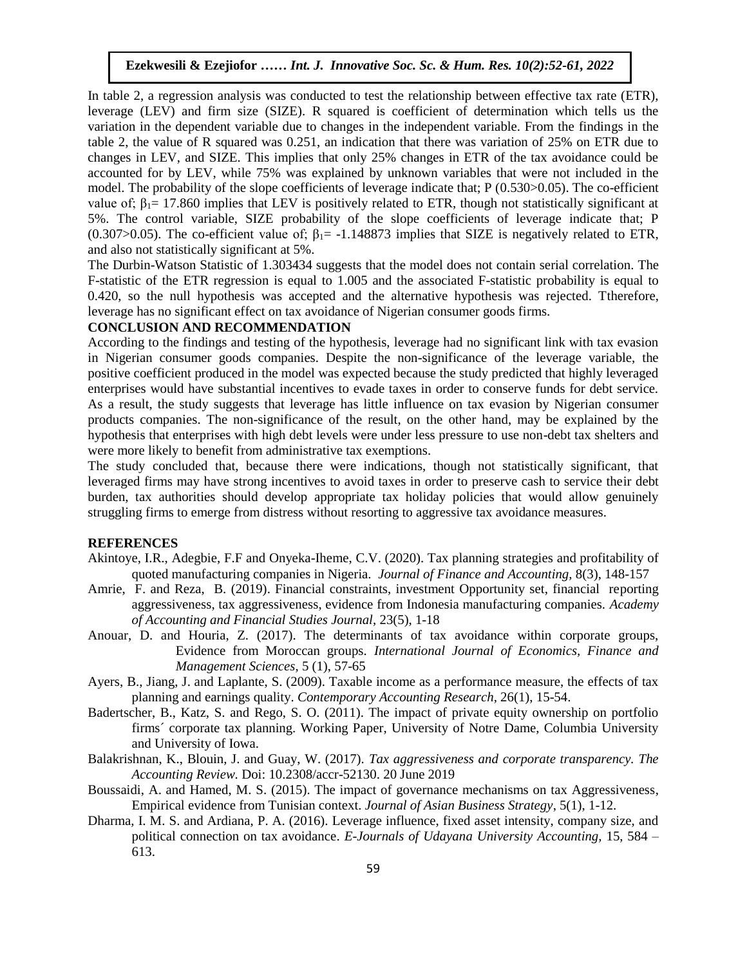In table 2, a regression analysis was conducted to test the relationship between effective tax rate (ETR), leverage (LEV) and firm size (SIZE). R squared is coefficient of determination which tells us the variation in the dependent variable due to changes in the independent variable. From the findings in the table 2, the value of R squared was 0.251, an indication that there was variation of 25% on ETR due to changes in LEV, and SIZE. This implies that only 25% changes in ETR of the tax avoidance could be accounted for by LEV, while 75% was explained by unknown variables that were not included in the model. The probability of the slope coefficients of leverage indicate that; P (0.530>0.05). The co-efficient value of;  $\beta_1 = 17.860$  implies that LEV is positively related to ETR, though not statistically significant at 5%. The control variable, SIZE probability of the slope coefficients of leverage indicate that; P (0.307>0.05). The co-efficient value of;  $\beta_1 = -1.148873$  implies that SIZE is negatively related to ETR, and also not statistically significant at 5%.

The Durbin-Watson Statistic of 1.303434 suggests that the model does not contain serial correlation. The F-statistic of the ETR regression is equal to 1.005 and the associated F-statistic probability is equal to 0.420, so the null hypothesis was accepted and the alternative hypothesis was rejected. Ttherefore, leverage has no significant effect on tax avoidance of Nigerian consumer goods firms.

## **CONCLUSION AND RECOMMENDATION**

According to the findings and testing of the hypothesis, leverage had no significant link with tax evasion in Nigerian consumer goods companies. Despite the non-significance of the leverage variable, the positive coefficient produced in the model was expected because the study predicted that highly leveraged enterprises would have substantial incentives to evade taxes in order to conserve funds for debt service. As a result, the study suggests that leverage has little influence on tax evasion by Nigerian consumer products companies. The non-significance of the result, on the other hand, may be explained by the hypothesis that enterprises with high debt levels were under less pressure to use non-debt tax shelters and were more likely to benefit from administrative tax exemptions.

The study concluded that, because there were indications, though not statistically significant, that leveraged firms may have strong incentives to avoid taxes in order to preserve cash to service their debt burden, tax authorities should develop appropriate tax holiday policies that would allow genuinely struggling firms to emerge from distress without resorting to aggressive tax avoidance measures.

# **REFERENCES**

- Akintoye, I.R., Adegbie, F.F and Onyeka-Iheme, C.V. (2020). Tax planning strategies and profitability of quoted manufacturing companies in Nigeria. *Journal of Finance and Accounting,* 8(3), 148-157
- Amrie, F. and Reza, B. (2019). Financial constraints, investment Opportunity set, financial reporting aggressiveness, tax aggressiveness, evidence from Indonesia manufacturing companies. *Academy of Accounting and Financial Studies Journal*, 23(5), 1-18
- Anouar, D. and Houria, Z. (2017). The determinants of tax avoidance within corporate groups, Evidence from Moroccan groups. *International Journal of Economics, Finance and Management Sciences,* 5 (1), 57-65
- Ayers, B., Jiang, J. and Laplante, S. (2009). Taxable income as a performance measure, the effects of tax planning and earnings quality. *Contemporary Accounting Research,* 26(1), 15-54.
- Badertscher, B., Katz, S. and Rego, S. O. (2011). The impact of private equity ownership on portfolio firms´ corporate tax planning. Working Paper, University of Notre Dame, Columbia University and University of Iowa.
- Balakrishnan, K., Blouin, J. and Guay, W. (2017). *Tax aggressiveness and corporate transparency. The Accounting Review.* Doi: 10.2308/accr-52130. 20 June 2019
- Boussaidi, A. and Hamed, M. S. (2015). The impact of governance mechanisms on tax Aggressiveness, Empirical evidence from Tunisian context. *Journal of Asian Business Strategy*, 5(1), 1-12.
- Dharma, I. M. S. and Ardiana, P. A. (2016). Leverage influence, fixed asset intensity, company size, and political connection on tax avoidance. *E-Journals of Udayana University Accounting,* 15, 584 – 613.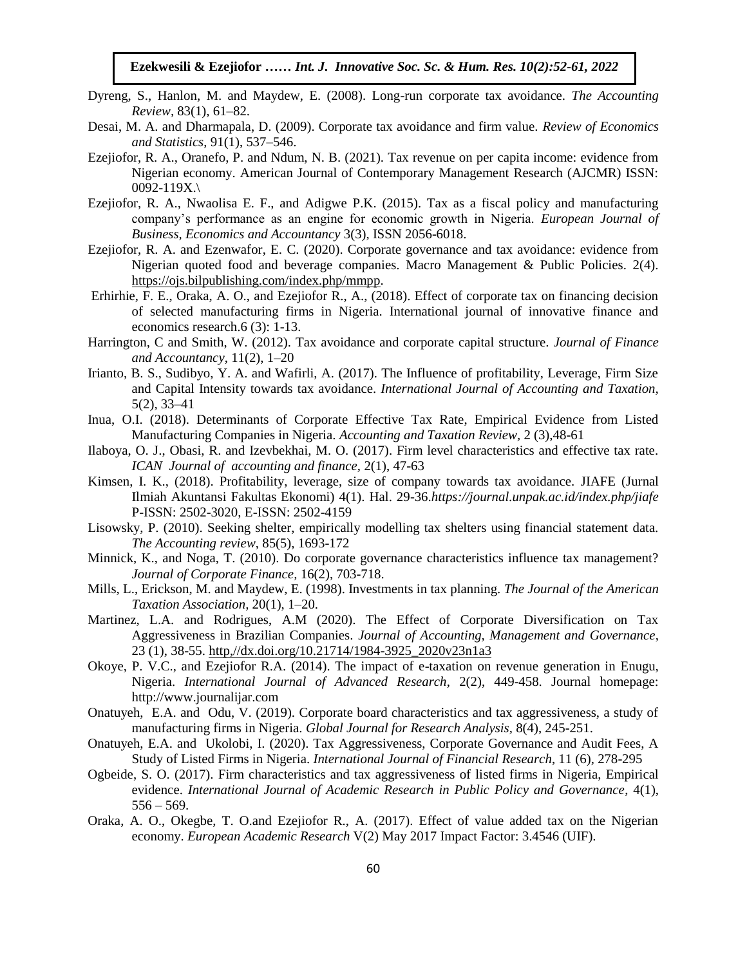- Dyreng, S., Hanlon, M. and Maydew, E. (2008). Long-run corporate tax avoidance. *The Accounting Review,* 83(1), 61–82.
- Desai, M. A. and Dharmapala, D. (2009). Corporate tax avoidance and firm value. Review of Economics *and Statistics*, 91(1), 537–546.
- Ezejiofor, R. A., Oranefo, P. and Ndum, N. B. (2021). Tax revenue on per capita income: evidence from Nigerian economy. American Journal of Contemporary Management Research (AJCMR) ISSN:  $0092 - 119X.$
- Ezejiofor, R. A., Nwaolisa E. F., and Adigwe P.K. (2015). Tax as a fiscal policy and manufacturing company's performance as an engine for economic growth in Nigeria. *European Journal of Business, Economics and Accountancy* 3(3), ISSN 2056-6018.
- Ezejiofor, R. A. and Ezenwafor, E. C. (2020). Corporate governance and tax avoidance: evidence from Nigerian quoted food and beverage companies. Macro Management & Public Policies. 2(4). [https://ojs.bilpublishing.com/index.php/mmpp.](https://ojs.bilpublishing.com/index.php/mmpp)
- Erhirhie, F. E., Oraka, A. O., and Ezejiofor R., A., (2018). Effect of corporate tax on financing decision of selected manufacturing firms in Nigeria. International journal of innovative finance and economics research.6 (3): 1-13.
- Harrington, C and Smith, W. (2012). Tax avoidance and corporate capital structure. *Journal of Finance and Accountancy*, 11(2), 1–20
- Irianto, B. S., Sudibyo, Y. A. and Wafirli, A. (2017). The Influence of profitability, Leverage, Firm Size and Capital Intensity towards tax avoidance. *International Journal of Accounting and Taxation,*  5(2), 33–41
- Inua, O.I. (2018). Determinants of Corporate Effective Tax Rate, Empirical Evidence from Listed Manufacturing Companies in Nigeria. Accounting and Taxation Review, 2 (3),48-61
- Ilaboya, O. J., Obasi, R. and Izevbekhai, M. O. (2017). Firm level characteristics and effective tax rate. *ICAN Journal of accounting and finance,* 2(1), 47-63
- Kimsen, I. K., (2018). Profitability, leverage, size of company towards tax avoidance. JIAFE (Jurnal Ilmiah Akuntansi Fakultas Ekonomi) 4(1). Hal. 29-36.*https://journal.unpak.ac.id/index.php/jiafe* P-ISSN: 2502-3020, E-ISSN: 2502-4159
- Lisowsky, P. (2010). Seeking shelter, empirically modelling tax shelters using financial statement data. *The Accounting review*, 85(5), 1693-172
- Minnick, K., and Noga, T. (2010). Do corporate governance characteristics influence tax management? *Journal of Corporate Finance,* 16(2), 703-718.
- Mills, L., Erickson, M. and Maydew, E. (1998). Investments in tax planning. *The Journal of the American Taxation Association,* 20(1), 1–20.
- Martinez, L.A. and Rodrigues, A.M (2020). The Effect of Corporate Diversification on Tax Aggressiveness in Brazilian Companies. *Journal of Accounting, Management and Governance*, 23 (1), 38-55. [http,//dx.doi.org/10.21714/1984-3925\\_2020v23n1a3](http://dx.doi.org/10.21714/1984-3925_2020v23n1a3)
- Okoye, P. V.C., and Ezejiofor R.A. (2014). The impact of e-taxation on revenue generation in Enugu, Nigeria. *International Journal of Advanced Research*, 2(2), 449-458. Journal homepage: http://www.journalijar.com
- Onatuyeh, E.A. and Odu, V. (2019). Corporate board characteristics and tax aggressiveness, a study of manufacturing firms in Nigeria. *Global Journal for Research Analysis,* 8(4), 245-251.
- Onatuyeh, E.A. and Ukolobi, I. (2020). Tax Aggressiveness, Corporate Governance and Audit Fees, A Study of Listed Firms in Nigeria. *International Journal of Financial Research*, 11 (6), 278-295
- Ogbeide, S. O. (2017). Firm characteristics and tax aggressiveness of listed firms in Nigeria, Empirical evidence. *International Journal of Academic Research in Public Policy and Governance*, 4(1),  $556 - 569.$
- Oraka, A. O., Okegbe, T. O.and Ezejiofor R., A. (2017). Effect of value added tax on the Nigerian economy. *European Academic Research* V(2) May 2017 Impact Factor: 3.4546 (UIF).